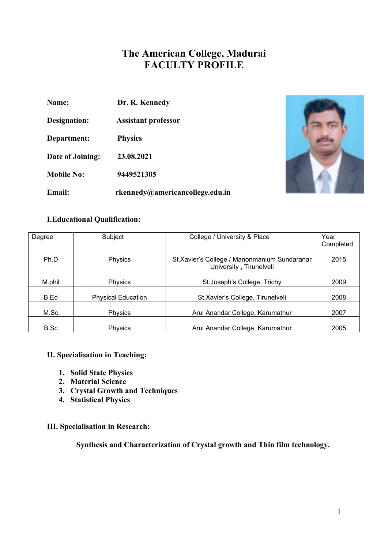# **The American College, Madurai FACULTY PROFILE**

| <b>Name:</b> | Dr. R. Kennedy |
|--------------|----------------|
|              |                |

**Designation: Assistant professor**

**Department: Physics**

**Date of Joining: 23.08.2021**

**Mobile No: 9449521305**

**Email: rkennedy@americancollege.edu.in**



# **I.Educational Qualification:**

| Degree | Subject                   | College / University & Place                                             | Year      |
|--------|---------------------------|--------------------------------------------------------------------------|-----------|
|        |                           |                                                                          | Completed |
| Ph.D   | Physics                   | St. Xavier's College / Manonmanium Sundaranar<br>University, Tirunelveli | 2015      |
|        |                           |                                                                          |           |
| M.phil | <b>Physics</b>            | St. Joseph's College, Trichy                                             | 2009      |
| B.Ed   | <b>Physical Education</b> | St.Xavier's College, Tirunelveli                                         | 2008      |
| M.Sc   | <b>Physics</b>            | Arul Anandar College, Karumathur                                         | 2007      |
| B.Sc   | <b>Physics</b>            | Arul Anandar College, Karumathur                                         | 2005      |

# **II. Specialisation in Teaching:**

- **1. Solid State Physics**
- **2. Material Science**
- **3. Crystal Growth and Techniques**
- **4. Statistical Physics**

# **III. Specialisation in Research:**

**Synthesis and Characterization of Crystal growth and Thin film technology.**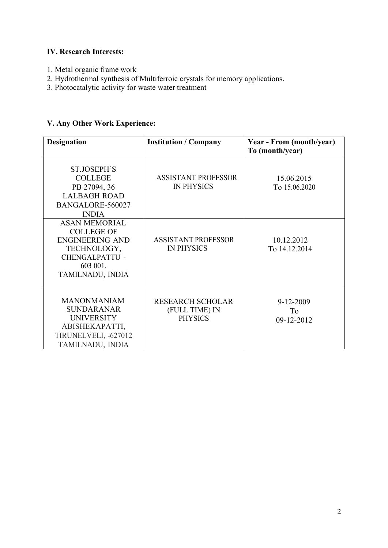# **IV. Research Interests:**

- 1. Metal organic frame work
- 2. Hydrothermal synthesis of Multiferroic crystals for memory applications.
- 3. Photocatalytic activity for waste water treatment

# **V. Any Other Work Experience:**

| <b>Designation</b>                                                                                                                          | <b>Institution / Company</b>                                | Year - From (month/year)<br>To (month/year) |
|---------------------------------------------------------------------------------------------------------------------------------------------|-------------------------------------------------------------|---------------------------------------------|
| ST.JOSEPH'S<br><b>COLLEGE</b><br>PB 27094, 36<br><b>LALBAGH ROAD</b><br>BANGALORE-560027<br><b>INDIA</b>                                    | <b>ASSISTANT PROFESSOR</b><br><b>IN PHYSICS</b>             | 15.06.2015<br>To 15.06.2020                 |
| <b>ASAN MEMORIAL</b><br><b>COLLEGE OF</b><br><b>ENGINEERING AND</b><br>TECHNOLOGY,<br><b>CHENGALPATTU -</b><br>603 001.<br>TAMILNADU, INDIA | <b>ASSISTANT PROFESSOR</b><br><b>IN PHYSICS</b>             | 10.12.2012<br>To 14.12.2014                 |
| <b>MANONMANIAM</b><br><b>SUNDARANAR</b><br><b>UNIVERSITY</b><br>ABISHEKAPATTI,<br>TIRUNELVELI, -627012<br>TAMILNADU, INDIA                  | <b>RESEARCH SCHOLAR</b><br>(FULL TIME) IN<br><b>PHYSICS</b> | $9 - 12 - 2009$<br>To<br>09-12-2012         |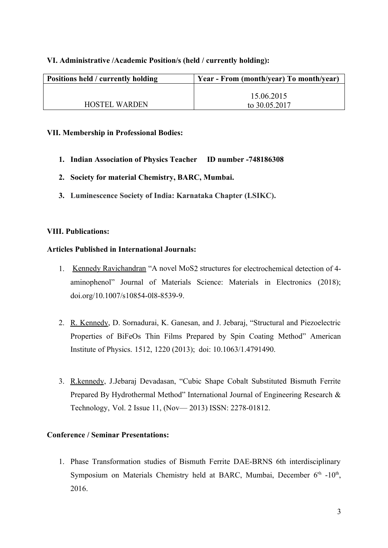#### **VI. Administrative /Academic Position/s (held / currently holding):**

| Positions held / currently holding | Year - From (month/year) To month/year) |
|------------------------------------|-----------------------------------------|
|                                    |                                         |
|                                    | 15.06.2015                              |
| <b>HOSTEL WARDEN</b>               | to 30.05.2017                           |

#### **VII. Membership in Professional Bodies:**

- **1. Indian Association of Physics Teacher ID number -748186308**
- **2. Society for material Chemistry, BARC, Mumbai.**
- **3. Luminescence Society of India: Karnataka Chapter (LSIKC).**

#### **VIII. Publications:**

#### **Articles Published in International Journals:**

- 1. Kennedy Ravichandran "A novel MoS2 structures for electrochemical detection of 4 aminophenol" Journal of Materials Science: Materials in Electronics (2018); doi.org/10.1007/s10854-0l8-8539-9.
- 2. R. Kennedy, D. Sornadurai, K. Ganesan, and J. Jebaraj, "Structural and Piezoelectric Properties of BiFeOs Thin Films Prepared by Spin Coating Method" American Institute of Physics. 1512, 1220 (2013); doi: 10.1063/1.4791490.
- 3. R.kennedy, J.Jebaraj Devadasan, "Cubic Shape Cobalt Substituted Bismuth Ferrite Prepared By Hydrothermal Method" International Journal of Engineering Research & Technology, Vol. 2 Issue 11, (Nov— 2013) ISSN: 2278-01812.

# **Conference / Seminar Presentations:**

1. Phase Transformation studies of Bismuth Ferrite DAE-BRNS 6th interdisciplinary Symposium on Materials Chemistry held at BARC, Mumbai, December  $6<sup>th</sup> -10<sup>th</sup>$ , 2016.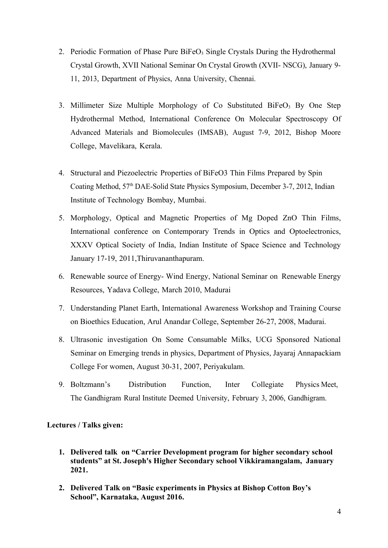- 2. Periodic Formation of Phase Pure BiFeO<sub>3</sub> Single Crystals During the Hydrothermal Crystal Growth, XVII National Seminar On Crystal Growth (XVII- NSCG), January 9- 11, 2013, Department of Physics, Anna University, Chennai.
- 3. Millimeter Size Multiple Morphology of Co Substituted BiFe $O<sub>3</sub>$  By One Step Hydrothermal Method, International Conference On Molecular Spectroscopy Of Advanced Materials and Biomolecules (IMSAB), August 7-9, 2012, Bishop Moore College, Mavelikara, Kerala.
- 4. Structural and Piezoelectric Properties of BiFeO3 Thin Films Prepared by Spin Coating Method, 57th DAE-Solid State Physics Symposium, December 3-7, 2012, Indian Institute of Technology Bombay, Mumbai.
- 5. Morphology, Optical and Magnetic Properties of Mg Doped ZnO Thin Films, International conference on Contemporary Trends in Optics and Optoelectronics, XXXV Optical Society of India, Indian Institute of Space Science and Technology January 17-19, 2011,Thiruvananthapuram.
- 6. Renewable source of Energy- Wind Energy, National Seminar on Renewable Energy Resources, Yadava College, March 2010, Madurai
- 7. Understanding Planet Earth, International Awareness Workshop and Training Course on Bioethics Education, Arul Anandar College, September 26-27, 2008, Madurai.
- 8. Ultrasonic investigation On Some Consumable Milks, UCG Sponsored National Seminar on Emerging trends in physics, Department of Physics, Jayaraj Annapackiam College For women, August 30-31, 2007, Periyakulam.
- 9. Boltzmann's Distribution Function, Inter Collegiate Physics Meet, The Gandhigram Rural Institute Deemed University, February 3, 2006, Gandhigram.

#### **Lectures / Talks given:**

- **1. Delivered talk on "Carrier Development program for higher secondary school students" at St. Joseph's Higher Secondary school Vikkiramangalam, January 2021.**
- **2. Delivered Talk on "Basic experiments in Physics at Bishop Cotton Boy's School", Karnataka, August 2016.**